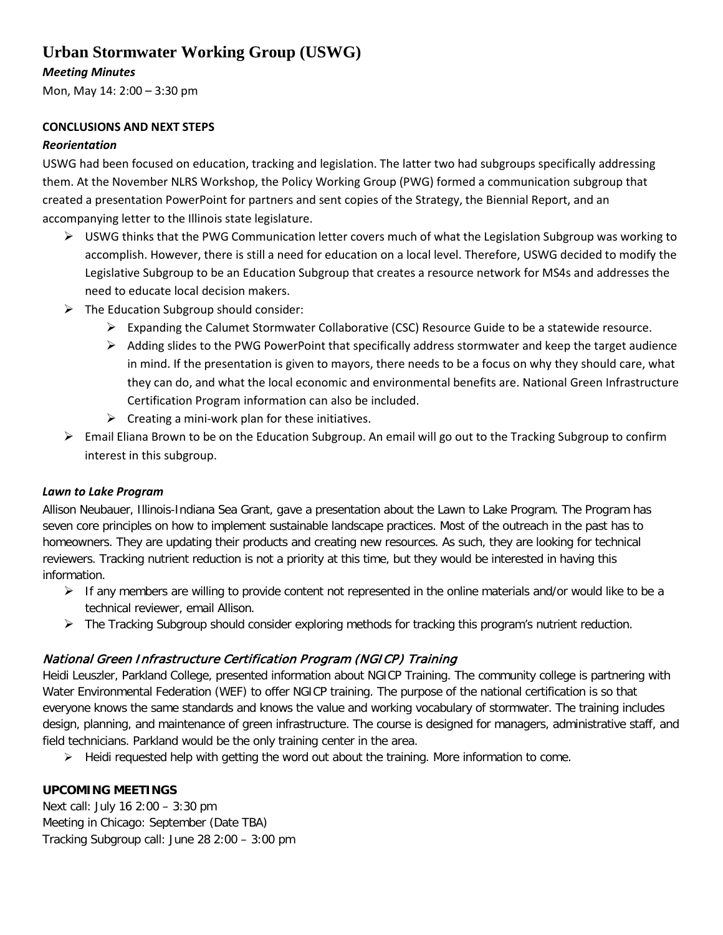# **Urban Stormwater Working Group (USWG)**

## *Meeting Minutes*

Mon, May 14: 2:00 – 3:30 pm

### **CONCLUSIONS AND NEXT STEPS**

#### *Reorientation*

USWG had been focused on education, tracking and legislation. The latter two had subgroups specifically addressing them. At the November NLRS Workshop, the Policy Working Group (PWG) formed a communication subgroup that created a presentation PowerPoint for partners and sent copies of the Strategy, the Biennial Report, and an accompanying letter to the Illinois state legislature.

- $\triangleright$  USWG thinks that the PWG Communication letter covers much of what the Legislation Subgroup was working to accomplish. However, there is still a need for education on a local level. Therefore, USWG decided to modify the Legislative Subgroup to be an Education Subgroup that creates a resource network for MS4s and addresses the need to educate local decision makers.
- $\triangleright$  The Education Subgroup should consider:
	- $\triangleright$  Expanding the Calumet Stormwater Collaborative (CSC) Resource Guide to be a statewide resource.
	- $\triangleright$  Adding slides to the PWG PowerPoint that specifically address stormwater and keep the target audience in mind. If the presentation is given to mayors, there needs to be a focus on why they should care, what they can do, and what the local economic and environmental benefits are. National Green Infrastructure Certification Program information can also be included.
	- $\triangleright$  Creating a mini-work plan for these initiatives.
- $\triangleright$  Email Eliana Brown to be on the Education Subgroup. An email will go out to the Tracking Subgroup to confirm interest in this subgroup.

#### *Lawn to Lake Program*

Allison Neubauer, Illinois-Indiana Sea Grant, gave a presentation about the Lawn to Lake Program. The Program has seven core principles on how to implement sustainable landscape practices. Most of the outreach in the past has to homeowners. They are updating their products and creating new resources. As such, they are looking for technical reviewers. Tracking nutrient reduction is not a priority at this time, but they would be interested in having this information.

- $\triangleright$  If any members are willing to provide content not represented in the online materials and/or would like to be a technical reviewer, email Allison.
- $\triangleright$  The Tracking Subgroup should consider exploring methods for tracking this program's nutrient reduction.

# National Green Infrastructure Certification Program (NGICP) Training

Heidi Leuszler, Parkland College, presented information about NGICP Training. The community college is partnering with Water Environmental Federation (WEF) to offer NGICP training. The purpose of the national certification is so that everyone knows the same standards and knows the value and working vocabulary of stormwater. The training includes design, planning, and maintenance of green infrastructure. The course is designed for managers, administrative staff, and field technicians. Parkland would be the only training center in the area.

 $\triangleright$  Heidi requested help with getting the word out about the training. More information to come.

#### **UPCOMING MEETINGS**

Next call: July 16 2:00 – 3:30 pm Meeting in Chicago: September (Date TBA) Tracking Subgroup call: June 28 2:00 – 3:00 pm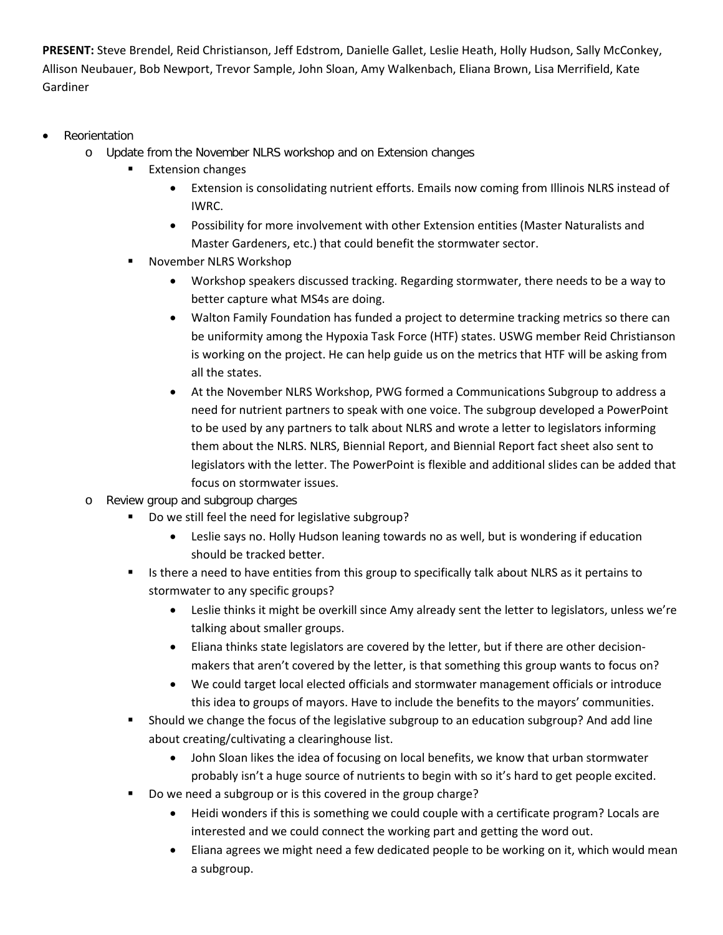**PRESENT:** Steve Brendel, Reid Christianson, Jeff Edstrom, Danielle Gallet, Leslie Heath, Holly Hudson, Sally McConkey, Allison Neubauer, Bob Newport, Trevor Sample, John Sloan, Amy Walkenbach, Eliana Brown, Lisa Merrifield, Kate Gardiner

- **Reorientation** 
	- o Update from the November NLRS workshop and on Extension changes
		- **Extension changes** 
			- Extension is consolidating nutrient efforts. Emails now coming from Illinois NLRS instead of IWRC.
			- Possibility for more involvement with other Extension entities (Master Naturalists and Master Gardeners, etc.) that could benefit the stormwater sector.
			- November NLRS Workshop
				- Workshop speakers discussed tracking. Regarding stormwater, there needs to be a way to better capture what MS4s are doing.
				- Walton Family Foundation has funded a project to determine tracking metrics so there can be uniformity among the Hypoxia Task Force (HTF) states. USWG member Reid Christianson is working on the project. He can help guide us on the metrics that HTF will be asking from all the states.
				- At the November NLRS Workshop, PWG formed a Communications Subgroup to address a need for nutrient partners to speak with one voice. The subgroup developed a PowerPoint to be used by any partners to talk about NLRS and wrote a letter to legislators informing them about the NLRS. NLRS, Biennial Report, and Biennial Report fact sheet also sent to legislators with the letter. The PowerPoint is flexible and additional slides can be added that focus on stormwater issues.
	- o Review group and subgroup charges
		- Do we still feel the need for legislative subgroup?
			- Leslie says no. Holly Hudson leaning towards no as well, but is wondering if education should be tracked better.
		- If Its there a need to have entities from this group to specifically talk about NLRS as it pertains to stormwater to any specific groups?
			- Leslie thinks it might be overkill since Amy already sent the letter to legislators, unless we're talking about smaller groups.
			- Eliana thinks state legislators are covered by the letter, but if there are other decisionmakers that aren't covered by the letter, is that something this group wants to focus on?
			- We could target local elected officials and stormwater management officials or introduce this idea to groups of mayors. Have to include the benefits to the mayors' communities.
		- Should we change the focus of the legislative subgroup to an education subgroup? And add line about creating/cultivating a clearinghouse list.
			- John Sloan likes the idea of focusing on local benefits, we know that urban stormwater probably isn't a huge source of nutrients to begin with so it's hard to get people excited.
		- Do we need a subgroup or is this covered in the group charge?
			- Heidi wonders if this is something we could couple with a certificate program? Locals are interested and we could connect the working part and getting the word out.
			- Eliana agrees we might need a few dedicated people to be working on it, which would mean a subgroup.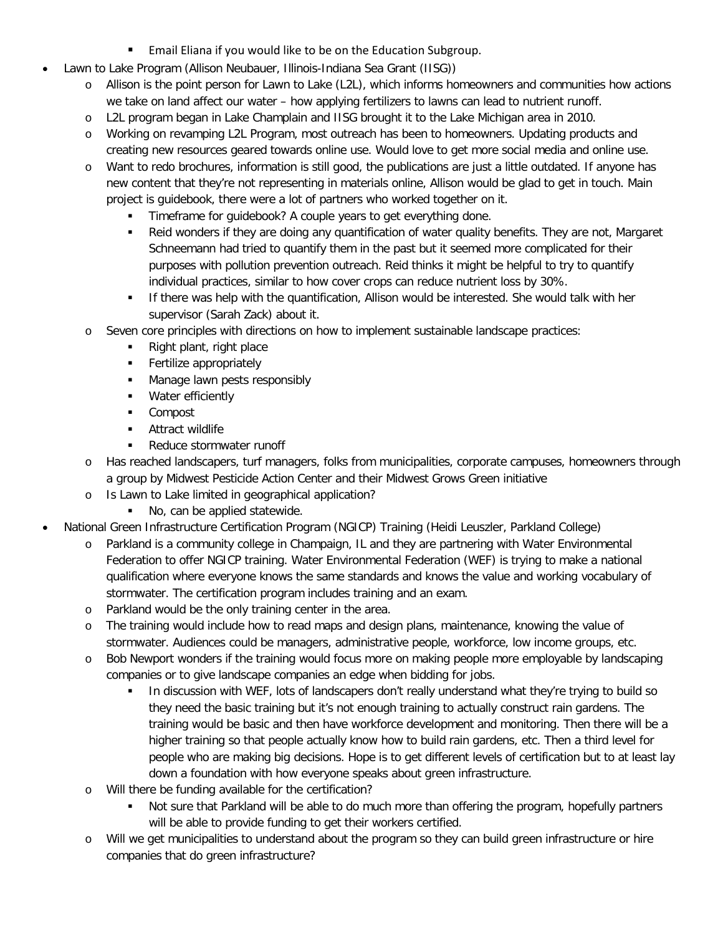- **Email Eliana if you would like to be on the Education Subgroup.**
- Lawn to Lake Program (Allison Neubauer, Illinois-Indiana Sea Grant (IISG))
	- o Allison is the point person for Lawn to Lake (L2L), which informs homeowners and communities how actions we take on land affect our water – how applying fertilizers to lawns can lead to nutrient runoff.
	- o L2L program began in Lake Champlain and IISG brought it to the Lake Michigan area in 2010.
	- o Working on revamping L2L Program, most outreach has been to homeowners. Updating products and creating new resources geared towards online use. Would love to get more social media and online use.
	- o Want to redo brochures, information is still good, the publications are just a little outdated. If anyone has new content that they're not representing in materials online, Allison would be glad to get in touch. Main project is guidebook, there were a lot of partners who worked together on it.
		- Timeframe for guidebook? A couple years to get everything done.
		- Reid wonders if they are doing any quantification of water quality benefits. They are not, Margaret Schneemann had tried to quantify them in the past but it seemed more complicated for their purposes with pollution prevention outreach. Reid thinks it might be helpful to try to quantify individual practices, similar to how cover crops can reduce nutrient loss by 30%.
		- If there was help with the quantification, Allison would be interested. She would talk with her supervisor (Sarah Zack) about it.
	- o Seven core principles with directions on how to implement sustainable landscape practices:
		- Right plant, right place
		- **Fertilize appropriately**
		- **Manage lawn pests responsibly**
		- **Water efficiently**
		- **Compost**
		- **-** Attract wildlife
		- Reduce stormwater runoff
	- o Has reached landscapers, turf managers, folks from municipalities, corporate campuses, homeowners through a group by Midwest Pesticide Action Center and their Midwest Grows Green initiative
	- o Is Lawn to Lake limited in geographical application?
		- No, can be applied statewide.
- National Green Infrastructure Certification Program (NGICP) Training (Heidi Leuszler, Parkland College)
	- Parkland is a community college in Champaign, IL and they are partnering with Water Environmental Federation to offer NGICP training. Water Environmental Federation (WEF) is trying to make a national qualification where everyone knows the same standards and knows the value and working vocabulary of stormwater. The certification program includes training and an exam.
	- o Parkland would be the only training center in the area.
	- o The training would include how to read maps and design plans, maintenance, knowing the value of stormwater. Audiences could be managers, administrative people, workforce, low income groups, etc.
	- o Bob Newport wonders if the training would focus more on making people more employable by landscaping companies or to give landscape companies an edge when bidding for jobs.
		- In discussion with WEF, lots of landscapers don't really understand what they're trying to build so they need the basic training but it's not enough training to actually construct rain gardens. The training would be basic and then have workforce development and monitoring. Then there will be a higher training so that people actually know how to build rain gardens, etc. Then a third level for people who are making big decisions. Hope is to get different levels of certification but to at least lay down a foundation with how everyone speaks about green infrastructure.
	- o Will there be funding available for the certification?
		- Not sure that Parkland will be able to do much more than offering the program, hopefully partners will be able to provide funding to get their workers certified.
	- o Will we get municipalities to understand about the program so they can build green infrastructure or hire companies that do green infrastructure?